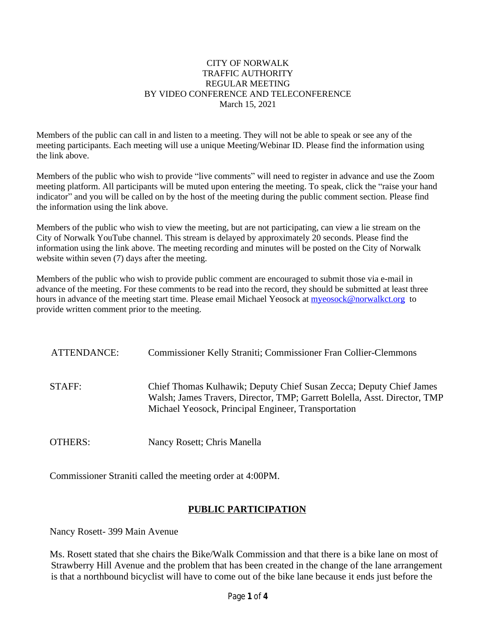#### CITY OF NORWALK TRAFFIC AUTHORITY REGULAR MEETING BY VIDEO CONFERENCE AND TELECONFERENCE March 15, 2021

Members of the public can call in and listen to a meeting. They will not be able to speak or see any of the meeting participants. Each meeting will use a unique Meeting/Webinar ID. Please find the information using the link above.

Members of the public who wish to provide "live comments" will need to register in advance and use the Zoom meeting platform. All participants will be muted upon entering the meeting. To speak, click the "raise your hand indicator" and you will be called on by the host of the meeting during the public comment section. Please find the information using the link above.

Members of the public who wish to view the meeting, but are not participating, can view a lie stream on the City of Norwalk YouTube channel. This stream is delayed by approximately 20 seconds. Please find the information using the link above. The meeting recording and minutes will be posted on the City of Norwalk website within seven (7) days after the meeting.

Members of the public who wish to provide public comment are encouraged to submit those via e-mail in advance of the meeting. For these comments to be read into the record, they should be submitted at least three hours in advance of the meeting start time. Please email Michael Yeosock at [myeosock@norwalkct.org](mailto:myeosock@norwalkct.org) to provide written comment prior to the meeting.

| ATTENDANCE: | Commissioner Kelly Straniti; Commissioner Fran Collier-Clemmons                                                                                                                                         |
|-------------|---------------------------------------------------------------------------------------------------------------------------------------------------------------------------------------------------------|
| STAFF:      | Chief Thomas Kulhawik; Deputy Chief Susan Zecca; Deputy Chief James<br>Walsh; James Travers, Director, TMP; Garrett Bolella, Asst. Director, TMP<br>Michael Yeosock, Principal Engineer, Transportation |
| OTHERS:     | Nancy Rosett; Chris Manella                                                                                                                                                                             |

Commissioner Straniti called the meeting order at 4:00PM.

# **PUBLIC PARTICIPATION**

Nancy Rosett- 399 Main Avenue

Ms. Rosett stated that she chairs the Bike/Walk Commission and that there is a bike lane on most of Strawberry Hill Avenue and the problem that has been created in the change of the lane arrangement is that a northbound bicyclist will have to come out of the bike lane because it ends just before the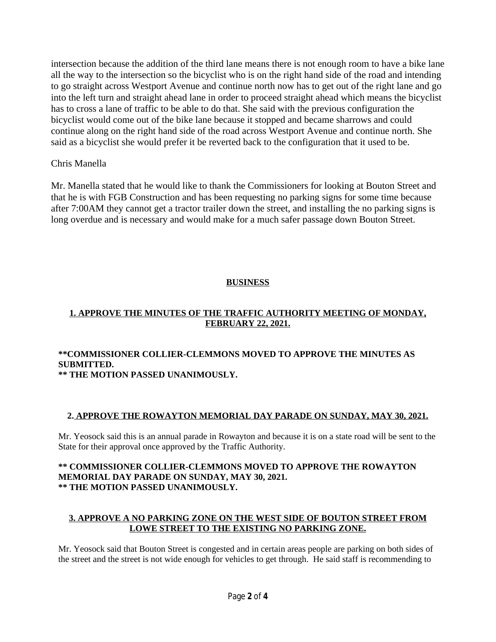intersection because the addition of the third lane means there is not enough room to have a bike lane all the way to the intersection so the bicyclist who is on the right hand side of the road and intending to go straight across Westport Avenue and continue north now has to get out of the right lane and go into the left turn and straight ahead lane in order to proceed straight ahead which means the bicyclist has to cross a lane of traffic to be able to do that. She said with the previous configuration the bicyclist would come out of the bike lane because it stopped and became sharrows and could continue along on the right hand side of the road across Westport Avenue and continue north. She said as a bicyclist she would prefer it be reverted back to the configuration that it used to be.

## Chris Manella

Mr. Manella stated that he would like to thank the Commissioners for looking at Bouton Street and that he is with FGB Construction and has been requesting no parking signs for some time because after 7:00AM they cannot get a tractor trailer down the street, and installing the no parking signs is long overdue and is necessary and would make for a much safer passage down Bouton Street.

# **BUSINESS**

## **1. APPROVE THE MINUTES OF THE TRAFFIC AUTHORITY MEETING OF MONDAY, FEBRUARY 22, 2021.**

#### **\*\*COMMISSIONER COLLIER-CLEMMONS MOVED TO APPROVE THE MINUTES AS SUBMITTED. \*\* THE MOTION PASSED UNANIMOUSLY.**

## **2. APPROVE THE ROWAYTON MEMORIAL DAY PARADE ON SUNDAY, MAY 30, 2021.**

Mr. Yeosock said this is an annual parade in Rowayton and because it is on a state road will be sent to the State for their approval once approved by the Traffic Authority.

#### **\*\* COMMISSIONER COLLIER-CLEMMONS MOVED TO APPROVE THE ROWAYTON MEMORIAL DAY PARADE ON SUNDAY, MAY 30, 2021. \*\* THE MOTION PASSED UNANIMOUSLY.**

## **3. APPROVE A NO PARKING ZONE ON THE WEST SIDE OF BOUTON STREET FROM LOWE STREET TO THE EXISTING NO PARKING ZONE.**

Mr. Yeosock said that Bouton Street is congested and in certain areas people are parking on both sides of the street and the street is not wide enough for vehicles to get through. He said staff is recommending to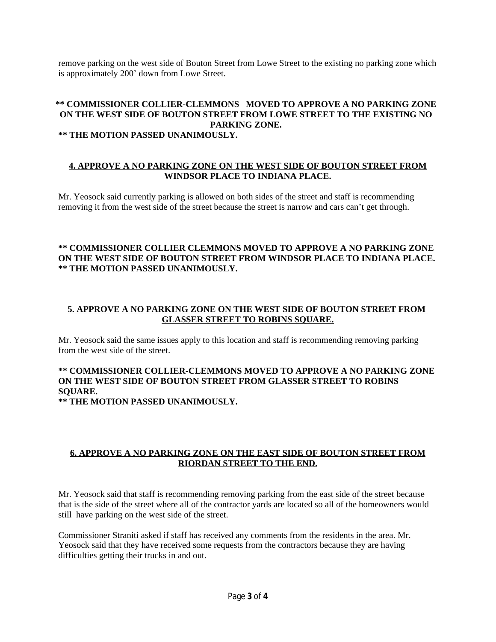remove parking on the west side of Bouton Street from Lowe Street to the existing no parking zone which is approximately 200' down from Lowe Street.

## **\*\* COMMISSIONER COLLIER-CLEMMONS MOVED TO APPROVE A NO PARKING ZONE ON THE WEST SIDE OF BOUTON STREET FROM LOWE STREET TO THE EXISTING NO PARKING ZONE.**

#### **\*\* THE MOTION PASSED UNANIMOUSLY.**

#### **4. APPROVE A NO PARKING ZONE ON THE WEST SIDE OF BOUTON STREET FROM WINDSOR PLACE TO INDIANA PLACE.**

Mr. Yeosock said currently parking is allowed on both sides of the street and staff is recommending removing it from the west side of the street because the street is narrow and cars can't get through.

#### **\*\* COMMISSIONER COLLIER CLEMMONS MOVED TO APPROVE A NO PARKING ZONE ON THE WEST SIDE OF BOUTON STREET FROM WINDSOR PLACE TO INDIANA PLACE. \*\* THE MOTION PASSED UNANIMOUSLY.**

## **5. APPROVE A NO PARKING ZONE ON THE WEST SIDE OF BOUTON STREET FROM GLASSER STREET TO ROBINS SQUARE.**

Mr. Yeosock said the same issues apply to this location and staff is recommending removing parking from the west side of the street.

# **\*\* COMMISSIONER COLLIER-CLEMMONS MOVED TO APPROVE A NO PARKING ZONE ON THE WEST SIDE OF BOUTON STREET FROM GLASSER STREET TO ROBINS SQUARE.**

**\*\* THE MOTION PASSED UNANIMOUSLY.**

## **6. APPROVE A NO PARKING ZONE ON THE EAST SIDE OF BOUTON STREET FROM RIORDAN STREET TO THE END.**

Mr. Yeosock said that staff is recommending removing parking from the east side of the street because that is the side of the street where all of the contractor yards are located so all of the homeowners would still have parking on the west side of the street.

Commissioner Straniti asked if staff has received any comments from the residents in the area. Mr. Yeosock said that they have received some requests from the contractors because they are having difficulties getting their trucks in and out.